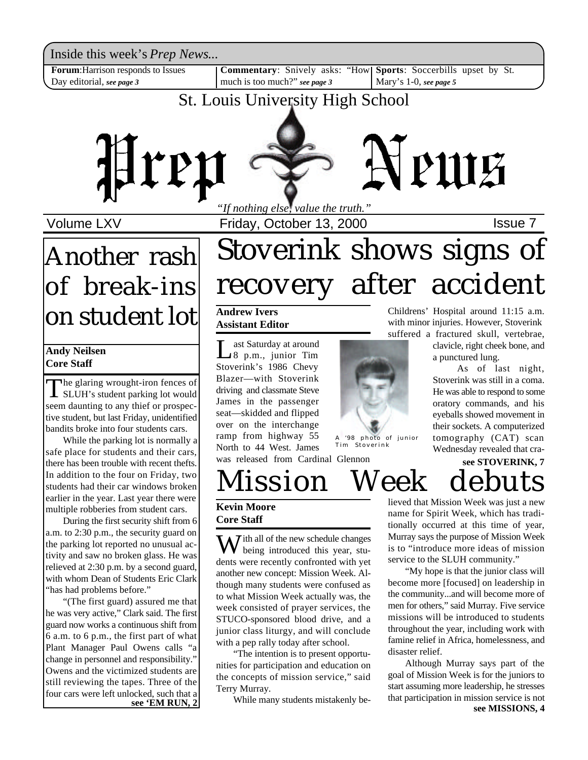Inside this week's *Prep News*...

**Forum**:Harrison responds to Issues Day editorial, *see page 3*

**Commentary**: Snively asks: "How| Sports: Soccerbills upset by St. much is too much?" *see page 3*

Mary's 1-0, *see page 5*

## St. Louis University High School



Volume LXV **Internal Contract Priday, October 13, 2000 ISSUE 7** 

# Another rash of break-ins on student lot

#### **Andy Neilsen Core Staff**

The glaring wrought-iron fences of<br>SLUH's student parking lot would SLUH's student parking lot would seem daunting to any thief or prospective student, but last Friday, unidentified bandits broke into four students cars.

While the parking lot is normally a safe place for students and their cars, there has been trouble with recent thefts. In addition to the four on Friday, two students had their car windows broken earlier in the year. Last year there were multiple robberies from student cars.

During the first security shift from 6 a.m. to 2:30 p.m., the security guard on the parking lot reported no unusual activity and saw no broken glass. He was relieved at 2:30 p.m. by a second guard, with whom Dean of Students Eric Clark "has had problems before."

"(The first guard) assured me that he was very active," Clark said. The first guard now works a continuous shift from 6 a.m. to 6 p.m., the first part of what Plant Manager Paul Owens calls "a change in personnel and responsibility." Owens and the victimized students are still reviewing the tapes. Three of the four cars were left unlocked, such that a<br>see 'EM RUN, 2

# Stoverink shows signs of recovery after accident

#### **Andrew Ivers Assistant Editor**

Last Saturday at around<br>
8 p.m., junior Tim<br>
Stoverink's 1986 Chevy ast Saturday at around 8 p.m., junior Tim Blazer—with Stoverink driving and classmate Steve James in the passenger seat—skidded and flipped over on the interchange ramp from highway 55 North to 44 West. James

A '98 photo of junior Tim Stoverink

was released from Cardinal Glennon

Childrens' Hospital around 11:15 a.m. with minor injuries. However, Stoverink suffered a fractured skull, vertebrae,

clavicle, right cheek bone, and a punctured lung.

As of last night, Stoverink was still in a coma. He was able to respond to some oratory commands, and his eyeballs showed movement in their sockets. A computerized tomography (CAT) scan Wednesday revealed that cra-

Mission Week debut **see STOVERINK, 7**

#### **Kevin Moore Core Staff**

 $\sum$  *T* ith all of the new schedule changes being introduced this year, students were recently confronted with yet another new concept: Mission Week. Although many students were confused as to what Mission Week actually was, the week consisted of prayer services, the STUCO-sponsored blood drive, and a junior class liturgy, and will conclude with a pep rally today after school.

"The intention is to present opportunities for participation and education on the concepts of mission service," said Terry Murray.

lieved that Mission Week was just a new name for Spirit Week, which has traditionally occurred at this time of year, Murray says the purpose of Mission Week is to "introduce more ideas of mission service to the SLUH community."

"My hope is that the junior class will become more [focused] on leadership in the community...and will become more of men for others," said Murray. Five service missions will be introduced to students throughout the year, including work with famine relief in Africa, homelessness, and disaster relief.

**See 'EM RUN, 2** While many students mistakenly be-<br>see 'EM RUN, 2 Although Murray says part of the goal of Mission Week is for the juniors to start assuming more leadership, he stresses that participation in mission service is not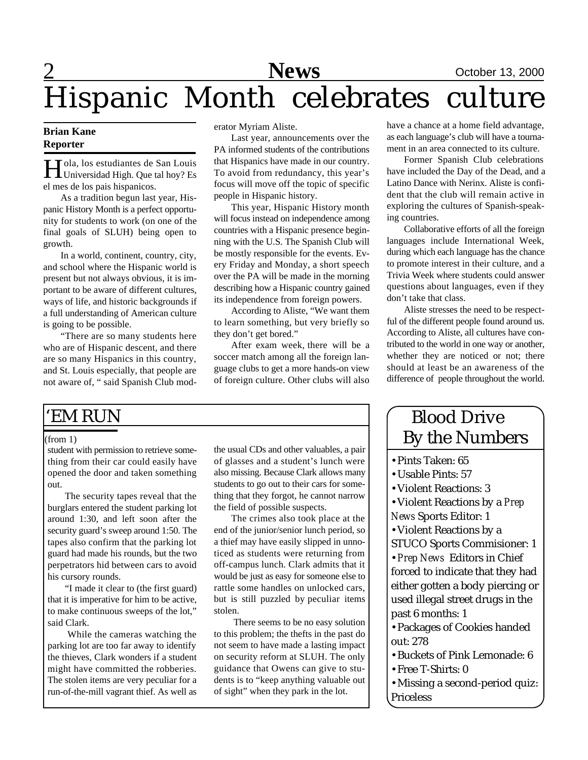# 2 **News** October 13, 2000 Hispanic Month celebrates culture

#### **Brian Kane Reporter**

H Universidad High. Que tal hoy? Es Tola, los estudiantes de San Louis el mes de los pais hispanicos.

As a tradition begun last year, Hispanic History Month is a perfect opportunity for students to work (on one of the final goals of SLUH) being open to growth.

In a world, continent, country, city, and school where the Hispanic world is present but not always obvious, it is important to be aware of different cultures, ways of life, and historic backgrounds if a full understanding of American culture is going to be possible.

"There are so many students here who are of Hispanic descent, and there are so many Hispanics in this country, and St. Louis especially, that people are not aware of, " said Spanish Club moderator Myriam Aliste.

Last year, announcements over the PA informed students of the contributions that Hispanics have made in our country. To avoid from redundancy, this year's focus will move off the topic of specific people in Hispanic history.

This year, Hispanic History month will focus instead on independence among countries with a Hispanic presence beginning with the U.S. The Spanish Club will be mostly responsible for the events. Every Friday and Monday, a short speech over the PA will be made in the morning describing how a Hispanic country gained its independence from foreign powers.

According to Aliste, "We want them to learn something, but very briefly so they don't get bored."

After exam week, there will be a soccer match among all the foreign language clubs to get a more hands-on view of foreign culture. Other clubs will also have a chance at a home field advantage, as each language's club will have a tournament in an area connected to its culture.

Former Spanish Club celebrations have included the Day of the Dead, and a Latino Dance with Nerinx. Aliste is confident that the club will remain active in exploring the cultures of Spanish-speaking countries.

Collaborative efforts of all the foreign languages include International Week, during which each language has the chance to promote interest in their culture, and a Trivia Week where students could answer questions about languages, even if they don't take that class.

Aliste stresses the need to be respectful of the different people found around us. According to Aliste, all cultures have contributed to the world in one way or another, whether they are noticed or not; there should at least be an awareness of the difference of people throughout the world.

### 'EM RUN

#### (from 1)

student with permission to retrieve something from their car could easily have opened the door and taken something out.

The security tapes reveal that the burglars entered the student parking lot around 1:30, and left soon after the security guard's sweep around 1:50. The tapes also confirm that the parking lot guard had made his rounds, but the two perpetrators hid between cars to avoid his cursory rounds.

"I made it clear to (the first guard) that it is imperative for him to be active, to make continuous sweeps of the lot," said Clark.

 While the cameras watching the parking lot are too far away to identify the thieves, Clark wonders if a student might have committed the robberies. The stolen items are very peculiar for a run-of-the-mill vagrant thief. As well as the usual CDs and other valuables, a pair of glasses and a student's lunch were also missing. Because Clark allows many students to go out to their cars for something that they forgot, he cannot narrow the field of possible suspects.

The crimes also took place at the end of the junior/senior lunch period, so a thief may have easily slipped in unnoticed as students were returning from off-campus lunch. Clark admits that it would be just as easy for someone else to rattle some handles on unlocked cars, but is still puzzled by peculiar items stolen.

 There seems to be no easy solution to this problem; the thefts in the past do not seem to have made a lasting impact on security reform at SLUH. The only guidance that Owens can give to students is to "keep anything valuable out of sight" when they park in the lot.

### Blood Drive By the Numbers

- •Pints Taken: 65
- •Usable Pints: 57
- •Violent Reactions: 3

•Violent Reactions by a *Prep News* Sports Editor: 1

•Violent Reactions by a

STUCO Sports Commisioner: 1

•*Prep News* Editors in Chief forced to indicate that they had either gotten a body piercing or

used illegal street drugs in the past 6 months: 1

•Packages of Cookies handed out: 278

- •Buckets of Pink Lemonade: 6
- •Free T-Shirts: 0
- •Missing a second-period quiz: Priceless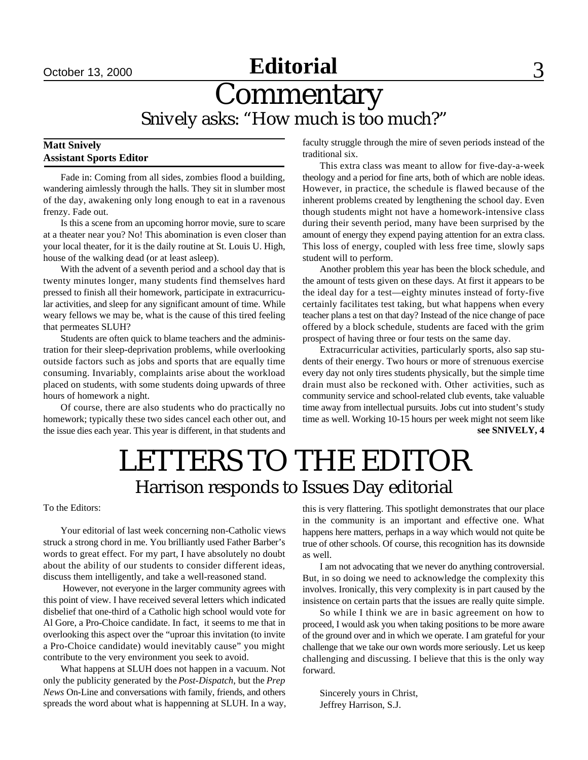## October 13, 2000 **Editorial** 3

## **Commentary** Snively asks: "How much is too much?"

#### **Matt Snively Assistant Sports Editor**

Fade in: Coming from all sides, zombies flood a building, wandering aimlessly through the halls. They sit in slumber most of the day, awakening only long enough to eat in a ravenous frenzy. Fade out.

Is this a scene from an upcoming horror movie, sure to scare at a theater near you? No! This abomination is even closer than your local theater, for it is the daily routine at St. Louis U. High, house of the walking dead (or at least asleep).

With the advent of a seventh period and a school day that is twenty minutes longer, many students find themselves hard pressed to finish all their homework, participate in extracurricular activities, and sleep for any significant amount of time. While weary fellows we may be, what is the cause of this tired feeling that permeates SLUH?

Students are often quick to blame teachers and the administration for their sleep-deprivation problems, while overlooking outside factors such as jobs and sports that are equally time consuming. Invariably, complaints arise about the workload placed on students, with some students doing upwards of three hours of homework a night.

Of course, there are also students who do practically no homework; typically these two sides cancel each other out, and the issue dies each year. This year is different, in that students and faculty struggle through the mire of seven periods instead of the traditional six.

This extra class was meant to allow for five-day-a-week theology and a period for fine arts, both of which are noble ideas. However, in practice, the schedule is flawed because of the inherent problems created by lengthening the school day. Even though students might not have a homework-intensive class during their seventh period, many have been surprised by the amount of energy they expend paying attention for an extra class. This loss of energy, coupled with less free time, slowly saps student will to perform.

Another problem this year has been the block schedule, and the amount of tests given on these days. At first it appears to be the ideal day for a test—eighty minutes instead of forty-five certainly facilitates test taking, but what happens when every teacher plans a test on that day? Instead of the nice change of pace offered by a block schedule, students are faced with the grim prospect of having three or four tests on the same day.

Extracurricular activities, particularly sports, also sap students of their energy. Two hours or more of strenuous exercise every day not only tires students physically, but the simple time drain must also be reckoned with. Other activities, such as community service and school-related club events, take valuable time away from intellectual pursuits. Jobs cut into student's study time as well. Working 10-15 hours per week might not seem like **see SNIVELY, 4**

# LETTERS TO THE EDITOR Harrison responds to Issues Day editorial

#### To the Editors:

Your editorial of last week concerning non-Catholic views struck a strong chord in me. You brilliantly used Father Barber's words to great effect. For my part, I have absolutely no doubt about the ability of our students to consider different ideas, discuss them intelligently, and take a well-reasoned stand.

 However, not everyone in the larger community agrees with this point of view. I have received several letters which indicated disbelief that one-third of a Catholic high school would vote for Al Gore, a Pro-Choice candidate. In fact, it seems to me that in overlooking this aspect over the "uproar this invitation (to invite a Pro-Choice candidate) would inevitably cause" you might contribute to the very environment you seek to avoid.

What happens at SLUH does not happen in a vacuum. Not only the publicity generated by the *Post-Dispatch*, but the *Prep News* On-Line and conversations with family, friends, and others spreads the word about what is happenning at SLUH. In a way, this is very flattering. This spotlight demonstrates that our place in the community is an important and effective one. What happens here matters, perhaps in a way which would not quite be true of other schools. Of course, this recognition has its downside as well.

I am not advocating that we never do anything controversial. But, in so doing we need to acknowledge the complexity this involves. Ironically, this very complexity is in part caused by the insistence on certain parts that the issues are really quite simple.

So while I think we are in basic agreement on how to proceed, I would ask you when taking positions to be more aware of the ground over and in which we operate. I am grateful for your challenge that we take our own words more seriously. Let us keep challenging and discussing. I believe that this is the only way forward.

Sincerely yours in Christ, Jeffrey Harrison, S.J.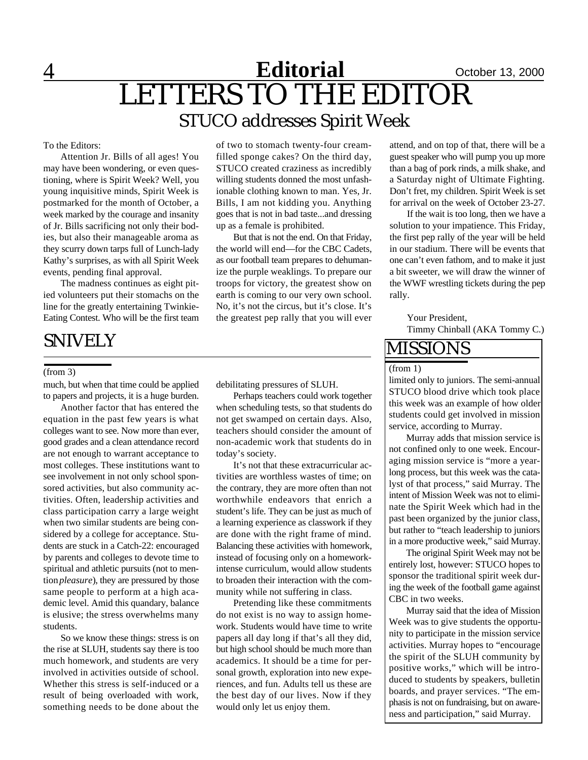### <u>4 **Neditorial**</u> Cotober 13, 2000 LETTERS TO THE EDITOR STUCO addresses Spirit Week **Editorial Editorial**

#### To the Editors:

Attention Jr. Bills of all ages! You may have been wondering, or even questioning, where is Spirit Week? Well, you young inquisitive minds, Spirit Week is postmarked for the month of October, a week marked by the courage and insanity of Jr. Bills sacrificing not only their bodies, but also their manageable aroma as they scurry down tarps full of Lunch-lady Kathy's surprises, as with all Spirit Week events, pending final approval.

The madness continues as eight pitied volunteers put their stomachs on the line for the greatly entertaining Twinkie-Eating Contest. Who will be the first team

### SNIVELY

#### (from 3)

much, but when that time could be applied to papers and projects, it is a huge burden.

Another factor that has entered the equation in the past few years is what colleges want to see. Now more than ever, good grades and a clean attendance record are not enough to warrant acceptance to most colleges. These institutions want to see involvement in not only school sponsored activities, but also community activities. Often, leadership activities and class participation carry a large weight when two similar students are being considered by a college for acceptance. Students are stuck in a Catch-22: encouraged by parents and colleges to devote time to spiritual and athletic pursuits (not to mention *pleasure*), they are pressured by those same people to perform at a high academic level. Amid this quandary, balance is elusive; the stress overwhelms many students.

So we know these things: stress is on the rise at SLUH, students say there is too much homework, and students are very involved in activities outside of school. Whether this stress is self-induced or a result of being overloaded with work, something needs to be done about the

of two to stomach twenty-four creamfilled sponge cakes? On the third day, STUCO created craziness as incredibly willing students donned the most unfashionable clothing known to man. Yes, Jr. Bills, I am not kidding you. Anything goes that is not in bad taste...and dressing up as a female is prohibited.

But that is not the end. On that Friday, the world will end—for the CBC Cadets, as our football team prepares to dehumanize the purple weaklings. To prepare our troops for victory, the greatest show on earth is coming to our very own school. No, it's not the circus, but it's close. It's the greatest pep rally that you will ever

debilitating pressures of SLUH.

Perhaps teachers could work together when scheduling tests, so that students do not get swamped on certain days. Also, teachers should consider the amount of non-academic work that students do in today's society.

It's not that these extracurricular activities are worthless wastes of time; on the contrary, they are more often than not worthwhile endeavors that enrich a student's life. They can be just as much of a learning experience as classwork if they are done with the right frame of mind. Balancing these activities with homework, instead of focusing only on a homeworkintense curriculum, would allow students to broaden their interaction with the community while not suffering in class.

Pretending like these commitments do not exist is no way to assign homework. Students would have time to write papers all day long if that's all they did, but high school should be much more than academics. It should be a time for personal growth, exploration into new experiences, and fun. Adults tell us these are the best day of our lives. Now if they would only let us enjoy them.

attend, and on top of that, there will be a guest speaker who will pump you up more than a bag of pork rinds, a milk shake, and a Saturday night of Ultimate Fighting. Don't fret, my children. Spirit Week is set for arrival on the week of October 23-27.

If the wait is too long, then we have a solution to your impatience. This Friday, the first pep rally of the year will be held in our stadium. There will be events that one can't even fathom, and to make it just a bit sweeter, we will draw the winner of the WWF wrestling tickets during the pep rally.

Your President, Timmy Chinball (AKA Tommy C.)

#### MISSIONS

#### (from 1)

limited only to juniors. The semi-annual STUCO blood drive which took place this week was an example of how older students could get involved in mission service, according to Murray.

Murray adds that mission service is not confined only to one week. Encouraging mission service is "more a yearlong process, but this week was the catalyst of that process," said Murray. The intent of Mission Week was not to eliminate the Spirit Week which had in the past been organized by the junior class, but rather to "teach leadership to juniors in a more productive week," said Murray.

The original Spirit Week may not be entirely lost, however: STUCO hopes to sponsor the traditional spirit week during the week of the football game against CBC in two weeks.

Murray said that the idea of Mission Week was to give students the opportunity to participate in the mission service activities. Murray hopes to "encourage the spirit of the SLUH community by positive works," which will be introduced to students by speakers, bulletin boards, and prayer services. "The emphasis is not on fundraising, but on awareness and participation," said Murray.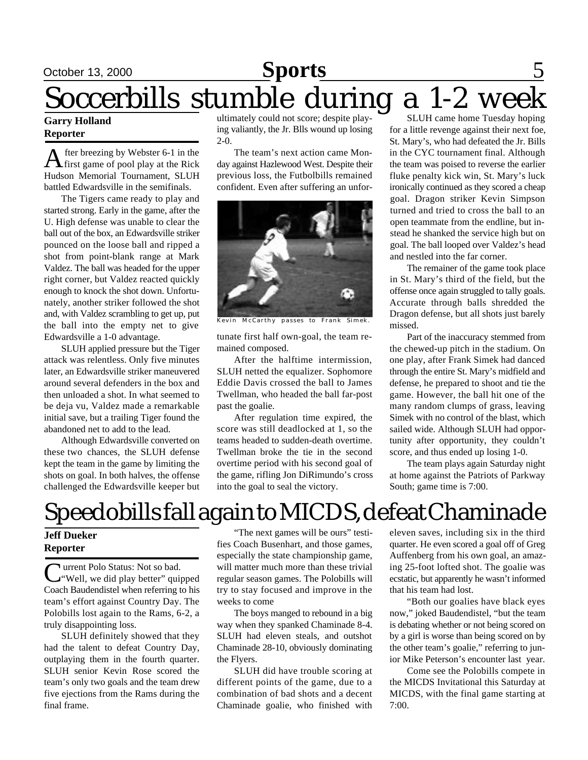# October 13, 2000 **Sports News** 5 Soccerbills stumble during a 1-2 week

#### **Garry Holland Reporter**

A fter breezing by Webster 6-1 in the<br>first game of pool play at the Rick fter breezing by Webster 6-1 in the Hudson Memorial Tournament, SLUH battled Edwardsville in the semifinals.

The Tigers came ready to play and started strong. Early in the game, after the U. High defense was unable to clear the ball out of the box, an Edwardsville striker pounced on the loose ball and ripped a shot from point-blank range at Mark Valdez. The ball was headed for the upper right corner, but Valdez reacted quickly enough to knock the shot down. Unfortunately, another striker followed the shot and, with Valdez scrambling to get up, put the ball into the empty net to give Edwardsville a 1-0 advantage.

SLUH applied pressure but the Tiger attack was relentless. Only five minutes later, an Edwardsville striker maneuvered around several defenders in the box and then unloaded a shot. In what seemed to be deja vu, Valdez made a remarkable initial save, but a trailing Tiger found the abandoned net to add to the lead.

Although Edwardsville converted on these two chances, the SLUH defense kept the team in the game by limiting the shots on goal. In both halves, the offense challenged the Edwardsville keeper but ultimately could not score; despite playing valiantly, the Jr. Blls wound up losing 2-0.

The team's next action came Monday against Hazlewood West. Despite their previous loss, the Futbolbills remained confident. Even after suffering an unfor-



Kevin McCarthy passes to Frank Simek.

tunate first half own-goal, the team remained composed.

After the halftime intermission, SLUH netted the equalizer. Sophomore Eddie Davis crossed the ball to James Twellman, who headed the ball far-post past the goalie.

After regulation time expired, the score was still deadlocked at 1, so the teams headed to sudden-death overtime. Twellman broke the tie in the second overtime period with his second goal of the game, rifling Jon DiRimundo's cross into the goal to seal the victory.

SLUH came home Tuesday hoping for a little revenge against their next foe, St. Mary's, who had defeated the Jr. Bills in the CYC tournament final. Although the team was poised to reverse the earlier fluke penalty kick win, St. Mary's luck ironically continued as they scored a cheap goal. Dragon striker Kevin Simpson turned and tried to cross the ball to an open teammate from the endline, but instead he shanked the service high but on goal. The ball looped over Valdez's head and nestled into the far corner.

The remainer of the game took place in St. Mary's third of the field, but the offense once again struggled to tally goals. Accurate through balls shredded the Dragon defense, but all shots just barely missed.

Part of the inaccuracy stemmed from the chewed-up pitch in the stadium. On one play, after Frank Simek had danced through the entire St. Mary's midfield and defense, he prepared to shoot and tie the game. However, the ball hit one of the many random clumps of grass, leaving Simek with no control of the blast, which sailed wide. Although SLUH had opportunity after opportunity, they couldn't score, and thus ended up losing 1-0.

The team plays again Saturday night at home against the Patriots of Parkway South; game time is 7:00.

# Speedobills fall again to MICDS, defeat Chaminade

#### **Jeff Dueker Reporter**

Current Polo Status: Not so bad.<br>
"Well, we did play better" quipped urrent Polo Status: Not so bad. Coach Baudendistel when referring to his team's effort against Country Day. The Polobills lost again to the Rams, 6-2, a truly disappointing loss.

SLUH definitely showed that they had the talent to defeat Country Day, outplaying them in the fourth quarter. SLUH senior Kevin Rose scored the team's only two goals and the team drew five ejections from the Rams during the final frame.

"The next games will be ours" testifies Coach Busenhart, and those games, especially the state championship game, will matter much more than these trivial regular season games. The Polobills will try to stay focused and improve in the weeks to come

The boys manged to rebound in a big way when they spanked Chaminade 8-4. SLUH had eleven steals, and outshot Chaminade 28-10, obviously dominating the Flyers.

SLUH did have trouble scoring at different points of the game, due to a combination of bad shots and a decent Chaminade goalie, who finished with

eleven saves, including six in the third quarter. He even scored a goal off of Greg Auffenberg from his own goal, an amazing 25-foot lofted shot. The goalie was ecstatic, but apparently he wasn't informed that his team had lost.

"Both our goalies have black eyes now," joked Baudendistel, "but the team is debating whether or not being scored on by a girl is worse than being scored on by the other team's goalie," referring to junior Mike Peterson's encounter last year.

Come see the Polobills compete in the MICDS Invitational this Saturday at MICDS, with the final game starting at 7:00.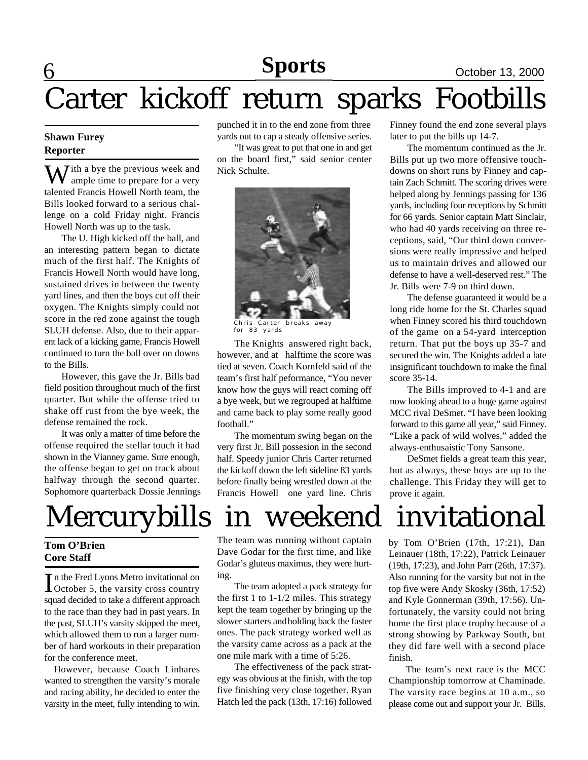#### **6 News Sports October 13, 2000 Sports**

# Carter kickoff return sparks Footbills

#### **Shawn Furey Reporter**

 $\sum$  *T* ith a bye the previous week and ample time to prepare for a very talented Francis Howell North team, the Bills looked forward to a serious challenge on a cold Friday night. Francis Howell North was up to the task.

The U. High kicked off the ball, and an interesting pattern began to dictate much of the first half. The Knights of Francis Howell North would have long, sustained drives in between the twenty yard lines, and then the boys cut off their oxygen. The Knights simply could not score in the red zone against the tough SLUH defense. Also, due to their apparent lack of a kicking game, Francis Howell continued to turn the ball over on downs to the Bills.

However, this gave the Jr. Bills bad field position throughout much of the first quarter. But while the offense tried to shake off rust from the bye week, the defense remained the rock.

It was only a matter of time before the offense required the stellar touch it had shown in the Vianney game. Sure enough, the offense began to get on track about halfway through the second quarter. Sophomore quarterback Dossie Jennings

# Mercurybills in weekend invitational

#### **Tom O'Brien Core Staff**

In the Fred Lyons Metro invitational on<br>October 5, the varsity cross country n the Fred Lyons Metro invitational on squad decided to take a different approach to the race than they had in past years. In the past, SLUH's varsity skipped the meet, which allowed them to run a larger number of hard workouts in their preparation for the conference meet.

However, because Coach Linhares wanted to strengthen the varsity's morale and racing ability, he decided to enter the varsity in the meet, fully intending to win.

punched it in to the end zone from three yards out to cap a steady offensive series.

"It was great to put that one in and get on the board first," said senior center Nick Schulte.



Chris Carter breaks away for 83 yards

The Knights answered right back, however, and at halftime the score was tied at seven. Coach Kornfeld said of the team's first half peformance, "You never know how the guys will react coming off a bye week, but we regrouped at halftime and came back to play some really good football."

The momentum swing began on the very first Jr. Bill possesion in the second half. Speedy junior Chris Carter returned the kickoff down the left sideline 83 yards before finally being wrestled down at the Francis Howell one yard line. Chris

The team was running without captain Dave Godar for the first time, and like Godar's gluteus maximus, they were hurting.

The team adopted a pack strategy for the first 1 to  $1 - 1/2$  miles. This strategy kept the team together by bringing up the slower starters andholding back the faster ones. The pack strategy worked well as the varsity came across as a pack at the one mile mark with a time of 5:26.

The effectiveness of the pack strategy was obvious at the finish, with the top five finishing very close together. Ryan Hatch led the pack (13th, 17:16) followed Finney found the end zone several plays later to put the bills up 14-7.

The momentum continued as the Jr. Bills put up two more offensive touchdowns on short runs by Finney and captain Zach Schmitt. The scoring drives were helped along by Jennings passing for 136 yards, including four receptions by Schmitt for 66 yards. Senior captain Matt Sinclair, who had 40 yards receiving on three receptions, said, "Our third down conversions were really impressive and helped us to maintain drives and allowed our defense to have a well-deserved rest." The Jr. Bills were 7-9 on third down.

The defense guaranteed it would be a long ride home for the St. Charles squad when Finney scored his third touchdown of the game on a 54-yard interception return. That put the boys up 35-7 and secured the win. The Knights added a late insignificant touchdown to make the final score 35-14.

The Bills improved to 4-1 and are now looking ahead to a huge game against MCC rival DeSmet. "I have been looking forward to this game all year," said Finney. "Like a pack of wild wolves," added the always-enthusaistic Tony Sansone.

DeSmet fields a great team this year, but as always, these boys are up to the challenge. This Friday they will get to prove it again.

by Tom O'Brien (17th, 17:21), Dan Leinauer (18th, 17:22), Patrick Leinauer (19th, 17:23), and John Parr (26th, 17:37). Also running for the varsity but not in the top five were Andy Skosky (36th, 17:52) and Kyle Gonnerman (39th, 17:56). Unfortunately, the varsity could not bring home the first place trophy because of a strong showing by Parkway South, but they did fare well with a second place finish.

The team's next race is the MCC Championship tomorrow at Chaminade. The varsity race begins at 10 a.m., so please come out and support your Jr. Bills.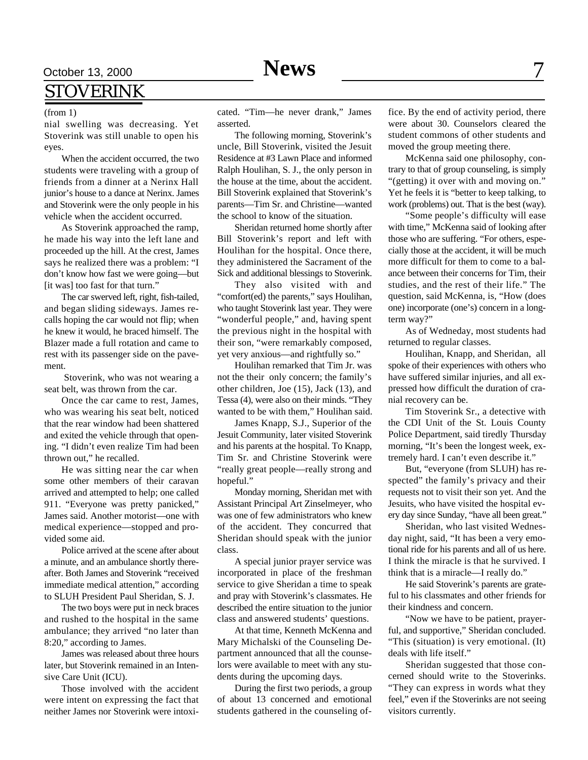## October 13, 2000 **News** 7 STOVERINK

#### (from 1)

nial swelling was decreasing. Yet Stoverink was still unable to open his eyes.

When the accident occurred, the two students were traveling with a group of friends from a dinner at a Nerinx Hall junior's house to a dance at Nerinx. James and Stoverink were the only people in his vehicle when the accident occurred.

As Stoverink approached the ramp, he made his way into the left lane and proceeded up the hill. At the crest, James says he realized there was a problem: "I don't know how fast we were going—but [it was] too fast for that turn."

The car swerved left, right, fish-tailed, and began sliding sideways. James recalls hoping the car would not flip; when he knew it would, he braced himself. The Blazer made a full rotation and came to rest with its passenger side on the pavement.

 Stoverink, who was not wearing a seat belt, was thrown from the car.

Once the car came to rest, James, who was wearing his seat belt, noticed that the rear window had been shattered and exited the vehicle through that opening. "I didn't even realize Tim had been thrown out," he recalled.

He was sitting near the car when some other members of their caravan arrived and attempted to help; one called 911. "Everyone was pretty panicked," James said. Another motorist—one with medical experience—stopped and provided some aid.

Police arrived at the scene after about a minute, and an ambulance shortly thereafter. Both James and Stoverink "received immediate medical attention," according to SLUH President Paul Sheridan, S. J.

The two boys were put in neck braces and rushed to the hospital in the same ambulance; they arrived "no later than 8:20," according to James.

James was released about three hours later, but Stoverink remained in an Intensive Care Unit (ICU).

Those involved with the accident were intent on expressing the fact that neither James nor Stoverink were intoxicated. "Tim—he never drank," James asserted.

The following morning, Stoverink's uncle, Bill Stoverink, visited the Jesuit Residence at #3 Lawn Place and informed Ralph Houlihan, S. J., the only person in the house at the time, about the accident. Bill Stoverink explained that Stoverink's parents—Tim Sr. and Christine—wanted the school to know of the situation.

Sheridan returned home shortly after Bill Stoverink's report and left with Houlihan for the hospital. Once there, they administered the Sacrament of the Sick and additional blessings to Stoverink.

They also visited with and "comfort(ed) the parents," says Houlihan, who taught Stoverink last year. They were "wonderful people," and, having spent the previous night in the hospital with their son, "were remarkably composed, yet very anxious—and rightfully so."

Houlihan remarked that Tim Jr. was not the their only concern; the family's other children, Joe (15), Jack (13), and Tessa (4), were also on their minds. "They wanted to be with them," Houlihan said.

James Knapp, S.J., Superior of the Jesuit Community, later visited Stoverink and his parents at the hospital. To Knapp, Tim Sr. and Christine Stoverink were "really great people—really strong and hopeful."

Monday morning, Sheridan met with Assistant Principal Art Zinselmeyer, who was one of few administrators who knew of the accident. They concurred that Sheridan should speak with the junior class.

A special junior prayer service was incorporated in place of the freshman service to give Sheridan a time to speak and pray with Stoverink's classmates. He described the entire situation to the junior class and answered students' questions.

At that time, Kenneth McKenna and Mary Michalski of the Counseling Department announced that all the counselors were available to meet with any students during the upcoming days.

During the first two periods, a group of about 13 concerned and emotional students gathered in the counseling office. By the end of activity period, there were about 30. Counselors cleared the student commons of other students and moved the group meeting there.

McKenna said one philosophy, contrary to that of group counseling, is simply "(getting) it over with and moving on." Yet he feels it is "better to keep talking, to work (problems) out. That is the best (way).

"Some people's difficulty will ease with time," McKenna said of looking after those who are suffering. "For others, especially those at the accident, it will be much more difficult for them to come to a balance between their concerns for Tim, their studies, and the rest of their life." The question, said McKenna, is, "How (does one) incorporate (one's) concern in a longterm way?"

As of Wedneday, most students had returned to regular classes.

Houlihan, Knapp, and Sheridan, all spoke of their experiences with others who have suffered similar injuries, and all expressed how difficult the duration of cranial recovery can be.

Tim Stoverink Sr., a detective with the CDI Unit of the St. Louis County Police Department, said tiredly Thursday morning, "It's been the longest week, extremely hard. I can't even describe it."

But, "everyone (from SLUH) has respected" the family's privacy and their requests not to visit their son yet. And the Jesuits, who have visited the hospital every day since Sunday, "have all been great."

Sheridan, who last visited Wednesday night, said, "It has been a very emotional ride for his parents and all of us here. I think the miracle is that he survived. I think that is a miracle—I really do."

He said Stoverink's parents are grateful to his classmates and other friends for their kindness and concern.

"Now we have to be patient, prayerful, and supportive," Sheridan concluded. "This (situation) is very emotional. (It) deals with life itself."

Sheridan suggested that those concerned should write to the Stoverinks. "They can express in words what they feel," even if the Stoverinks are not seeing visitors currently.